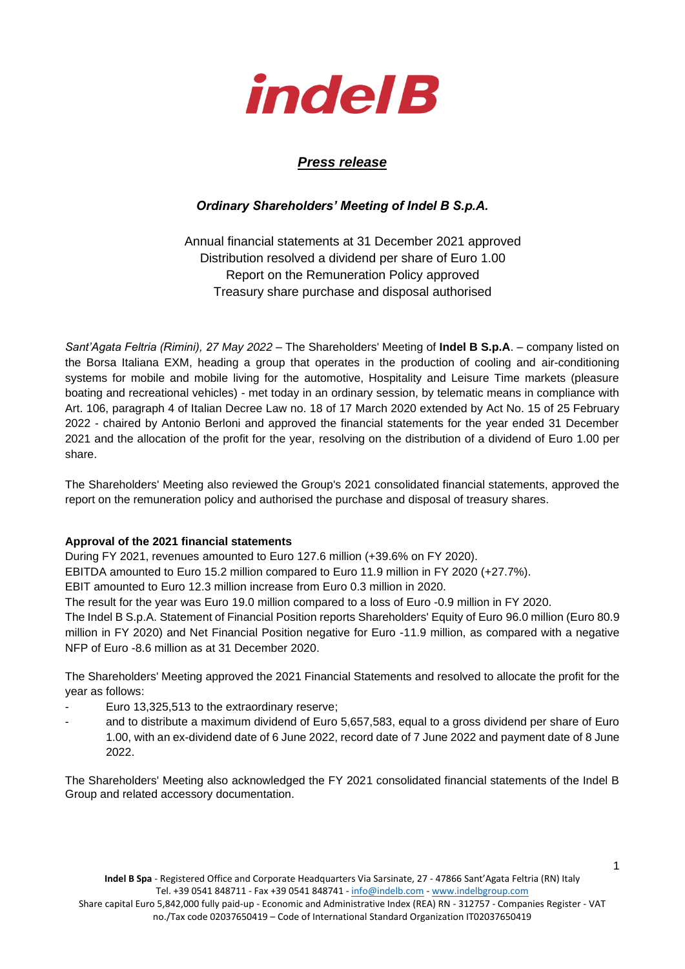

# *Press release*

# *Ordinary Shareholders' Meeting of Indel B S.p.A.*

Annual financial statements at 31 December 2021 approved Distribution resolved a dividend per share of Euro 1.00 Report on the Remuneration Policy approved Treasury share purchase and disposal authorised

*Sant'Agata Feltria (Rimini), 27 May 2022 –* The Shareholders' Meeting of **Indel B S.p.A**. – company listed on the Borsa Italiana EXM, heading a group that operates in the production of cooling and air-conditioning systems for mobile and mobile living for the automotive, Hospitality and Leisure Time markets (pleasure boating and recreational vehicles) - met today in an ordinary session, by telematic means in compliance with Art. 106, paragraph 4 of Italian Decree Law no. 18 of 17 March 2020 extended by Act No. 15 of 25 February 2022 - chaired by Antonio Berloni and approved the financial statements for the year ended 31 December 2021 and the allocation of the profit for the year, resolving on the distribution of a dividend of Euro 1.00 per share.

The Shareholders' Meeting also reviewed the Group's 2021 consolidated financial statements, approved the report on the remuneration policy and authorised the purchase and disposal of treasury shares.

### **Approval of the 2021 financial statements**

During FY 2021, revenues amounted to Euro 127.6 million (+39.6% on FY 2020).

EBITDA amounted to Euro 15.2 million compared to Euro 11.9 million in FY 2020 (+27.7%).

EBIT amounted to Euro 12.3 million increase from Euro 0.3 million in 2020.

The result for the year was Euro 19.0 million compared to a loss of Euro -0.9 million in FY 2020.

The Indel B S.p.A. Statement of Financial Position reports Shareholders' Equity of Euro 96.0 million (Euro 80.9 million in FY 2020) and Net Financial Position negative for Euro -11.9 million, as compared with a negative NFP of Euro -8.6 million as at 31 December 2020.

The Shareholders' Meeting approved the 2021 Financial Statements and resolved to allocate the profit for the year as follows:

- Euro 13,325,513 to the extraordinary reserve;
- and to distribute a maximum dividend of Euro 5,657,583, equal to a gross dividend per share of Euro 1.00, with an ex-dividend date of 6 June 2022, record date of 7 June 2022 and payment date of 8 June 2022.

The Shareholders' Meeting also acknowledged the FY 2021 consolidated financial statements of the Indel B Group and related accessory documentation.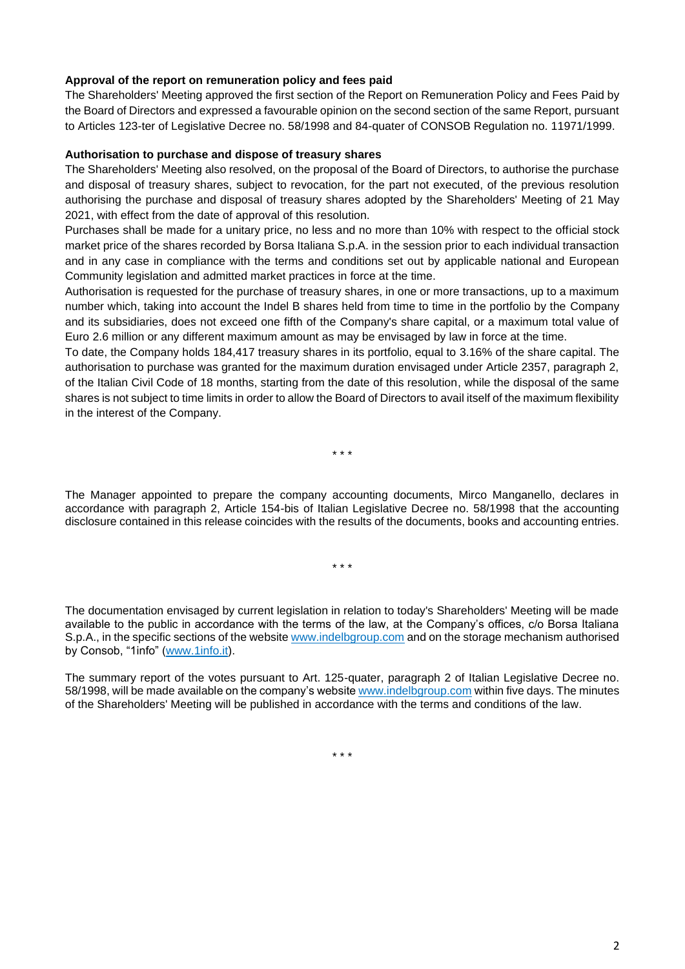### **Approval of the report on remuneration policy and fees paid**

The Shareholders' Meeting approved the first section of the Report on Remuneration Policy and Fees Paid by the Board of Directors and expressed a favourable opinion on the second section of the same Report, pursuant to Articles 123-ter of Legislative Decree no. 58/1998 and 84-quater of CONSOB Regulation no. 11971/1999.

#### **Authorisation to purchase and dispose of treasury shares**

The Shareholders' Meeting also resolved, on the proposal of the Board of Directors, to authorise the purchase and disposal of treasury shares, subject to revocation, for the part not executed, of the previous resolution authorising the purchase and disposal of treasury shares adopted by the Shareholders' Meeting of 21 May 2021, with effect from the date of approval of this resolution.

Purchases shall be made for a unitary price, no less and no more than 10% with respect to the official stock market price of the shares recorded by Borsa Italiana S.p.A. in the session prior to each individual transaction and in any case in compliance with the terms and conditions set out by applicable national and European Community legislation and admitted market practices in force at the time.

Authorisation is requested for the purchase of treasury shares, in one or more transactions, up to a maximum number which, taking into account the Indel B shares held from time to time in the portfolio by the Company and its subsidiaries, does not exceed one fifth of the Company's share capital, or a maximum total value of Euro 2.6 million or any different maximum amount as may be envisaged by law in force at the time.

To date, the Company holds 184,417 treasury shares in its portfolio, equal to 3.16% of the share capital. The authorisation to purchase was granted for the maximum duration envisaged under Article 2357, paragraph 2, of the Italian Civil Code of 18 months, starting from the date of this resolution, while the disposal of the same shares is not subject to time limits in order to allow the Board of Directors to avail itself of the maximum flexibility in the interest of the Company.

\* \* \*

The Manager appointed to prepare the company accounting documents, Mirco Manganello, declares in accordance with paragraph 2, Article 154-bis of Italian Legislative Decree no. 58/1998 that the accounting disclosure contained in this release coincides with the results of the documents, books and accounting entries.

\* \* \*

The documentation envisaged by current legislation in relation to today's Shareholders' Meeting will be made available to the public in accordance with the terms of the law, at the Company's offices, c/o Borsa Italiana S.p.A., in the specific sections of the website [www.indelbgroup.com](file:///C:/Users/DBENELI/AppData/Local/Microsoft/Windows/INetCache/Content.Outlook/I95OYFDQ/www.indelbgroup.com) and on the storage mechanism authorised by Consob, "1info" [\(www.1info.it\)](file:///C:/Users/DBENELI/AppData/Local/Microsoft/Windows/INetCache/Content.Outlook/I95OYFDQ/www.1info.it).

The summary report of the votes pursuant to Art. 125-quater, paragraph 2 of Italian Legislative Decree no. 58/1998, will be made available on the company's website [www.indelbgroup.com](file:///C:/Users/DBENELI/AppData/Local/Microsoft/Windows/INetCache/Content.Outlook/I95OYFDQ/www.indelbgroup.com) within five days. The minutes of the Shareholders' Meeting will be published in accordance with the terms and conditions of the law.

\* \* \*